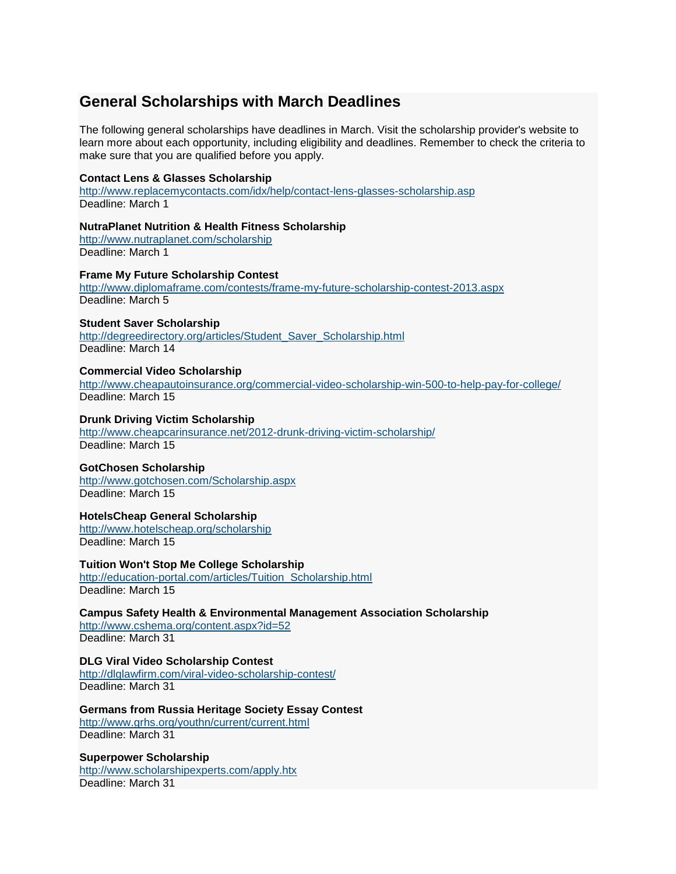# **General Scholarships with March Deadlines**

The following general scholarships have deadlines in March. Visit the scholarship provider's website to learn more about each opportunity, including eligibility and deadlines. Remember to check the criteria to make sure that you are qualified before you apply.

# **Contact Lens & Glasses Scholarship**

<http://www.replacemycontacts.com/idx/help/contact-lens-glasses-scholarship.asp> Deadline: March 1

# **NutraPlanet Nutrition & Health Fitness Scholarship**

<http://www.nutraplanet.com/scholarship> Deadline: March 1

### **Frame My Future Scholarship Contest**

<http://www.diplomaframe.com/contests/frame-my-future-scholarship-contest-2013.aspx> Deadline: March 5

# **Student Saver Scholarship**

[http://degreedirectory.org/articles/Student\\_Saver\\_Scholarship.html](http://degreedirectory.org/articles/Student_Saver_Scholarship.html) Deadline: March 14

# **Commercial Video Scholarship**

<http://www.cheapautoinsurance.org/commercial-video-scholarship-win-500-to-help-pay-for-college/> Deadline: March 15

# **Drunk Driving Victim Scholarship**

<http://www.cheapcarinsurance.net/2012-drunk-driving-victim-scholarship/> Deadline: March 15

# **GotChosen Scholarship**

<http://www.gotchosen.com/Scholarship.aspx> Deadline: March 15

# **HotelsCheap General Scholarship**

<http://www.hotelscheap.org/scholarship> Deadline: March 15

# **Tuition Won't Stop Me College Scholarship**

[http://education-portal.com/articles/Tuition\\_Scholarship.html](http://education-portal.com/articles/Tuition_Scholarship.html) Deadline: March 15

### **Campus Safety Health & Environmental Management Association Scholarship**

<http://www.cshema.org/content.aspx?id=52> Deadline: March 31

#### **DLG Viral Video Scholarship Contest** <http://dlglawfirm.com/viral-video-scholarship-contest/> Deadline: March 31

**Germans from Russia Heritage Society Essay Contest**

<http://www.grhs.org/youthn/current/current.html> Deadline: March 31

# **Superpower Scholarship**

<http://www.scholarshipexperts.com/apply.htx> Deadline: March 31